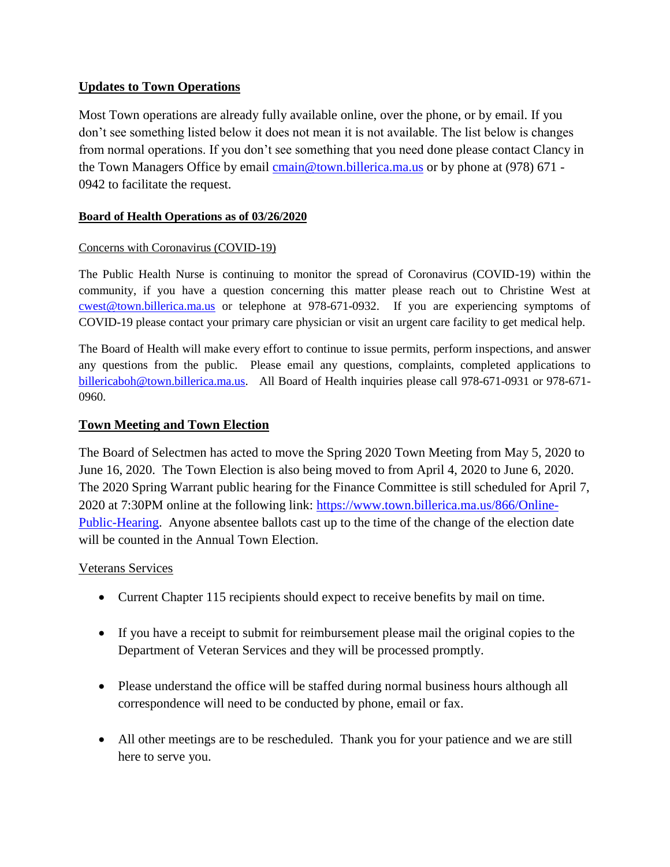# **Updates to Town Operations**

Most Town operations are already fully available online, over the phone, or by email. If you don't see something listed below it does not mean it is not available. The list below is changes from normal operations. If you don't see something that you need done please contact Clancy in the Town Managers Office by email [cmain@town.billerica.ma.us](mailto:cmain@town.billerica.ma.us) or by phone at (978) 671 -0942 to facilitate the request.

# **Board of Health Operations as of 03/26/2020**

# Concerns with Coronavirus (COVID-19)

The Public Health Nurse is continuing to monitor the spread of Coronavirus (COVID-19) within the community, if you have a question concerning this matter please reach out to Christine West at [cwest@town.billerica.ma.us](mailto:cwest@town.billerica.ma.us) or telephone at 978-671-0932. If you are experiencing symptoms of COVID-19 please contact your primary care physician or visit an urgent care facility to get medical help.

The Board of Health will make every effort to continue to issue permits, perform inspections, and answer any questions from the public. Please email any questions, complaints, completed applications to [billericaboh@town.billerica.ma.us.](mailto:billericaboh@town.billerica.ma.us) All Board of Health inquiries please call 978-671-0931 or 978-671- 0960.

# **Town Meeting and Town Election**

The Board of Selectmen has acted to move the Spring 2020 Town Meeting from May 5, 2020 to June 16, 2020. The Town Election is also being moved to from April 4, 2020 to June 6, 2020. The 2020 Spring Warrant public hearing for the Finance Committee is still scheduled for April 7, 2020 at 7:30PM online at the following link: [https://www.town.billerica.ma.us/866/Online-](https://www.town.billerica.ma.us/866/Online-Public-Hearing)[Public-Hearing.](https://www.town.billerica.ma.us/866/Online-Public-Hearing) Anyone absentee ballots cast up to the time of the change of the election date will be counted in the Annual Town Election.

# Veterans Services

- Current Chapter 115 recipients should expect to receive benefits by mail on time.
- If you have a receipt to submit for reimbursement please mail the original copies to the Department of Veteran Services and they will be processed promptly.
- Please understand the office will be staffed during normal business hours although all correspondence will need to be conducted by phone, email or fax.
- All other meetings are to be rescheduled. Thank you for your patience and we are still here to serve you.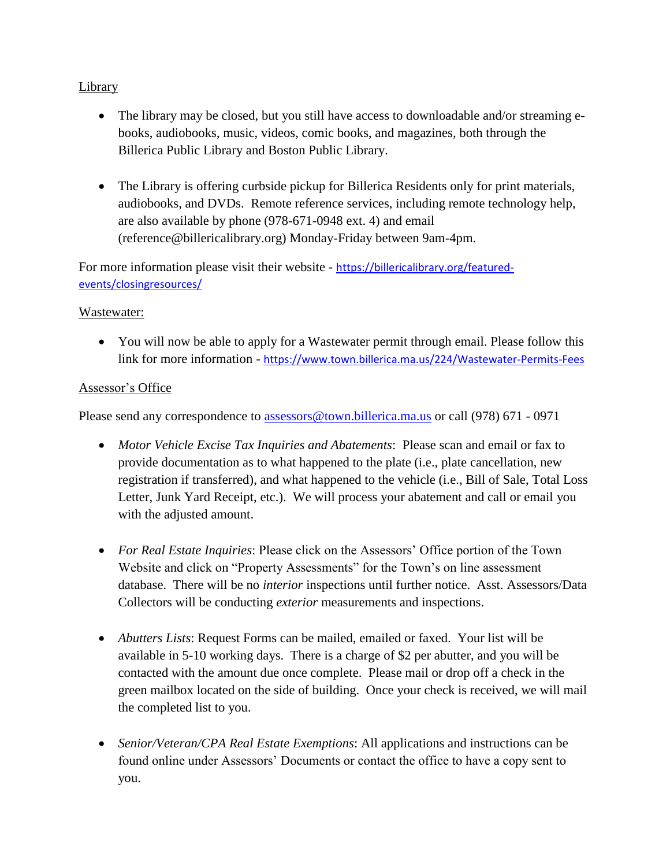# **Library**

- The library may be closed, but you still have access to downloadable and/or streaming ebooks, audiobooks, music, videos, comic books, and magazines, both through the Billerica Public Library and Boston Public Library.
- The Library is offering curbside pickup for Billerica Residents only for print materials, audiobooks, and DVDs. Remote reference services, including remote technology help, are also available by phone (978-671-0948 ext. 4) and email (reference@billericalibrary.org) Monday-Friday between 9am-4pm.

For more information please visit their website - [https://billericalibrary.org/featured](https://billericalibrary.org/featured-events/closingresources/)[events/closingresources/](https://billericalibrary.org/featured-events/closingresources/)

# Wastewater:

• You will now be able to apply for a Wastewater permit through email. Please follow this link for more information - <https://www.town.billerica.ma.us/224/Wastewater-Permits-Fees>

# Assessor's Office

Please send any correspondence to [assessors@town.billerica.ma.us](mailto:assessors@town.billerica.ma.us) or call (978) 671 - 0971

- *Motor Vehicle Excise Tax Inquiries and Abatements*: Please scan and email or fax to provide documentation as to what happened to the plate (i.e., plate cancellation, new registration if transferred), and what happened to the vehicle (i.e., Bill of Sale, Total Loss Letter, Junk Yard Receipt, etc.). We will process your abatement and call or email you with the adjusted amount.
- *For Real Estate Inquiries*: Please click on the Assessors' Office portion of the Town Website and click on "Property Assessments" for the Town's on line assessment database. There will be no *interior* inspections until further notice. Asst. Assessors/Data Collectors will be conducting *exterior* measurements and inspections.
- *Abutters Lists*: Request Forms can be mailed, emailed or faxed. Your list will be available in 5-10 working days. There is a charge of \$2 per abutter, and you will be contacted with the amount due once complete. Please mail or drop off a check in the green mailbox located on the side of building. Once your check is received, we will mail the completed list to you.
- *Senior/Veteran/CPA Real Estate Exemptions*: All applications and instructions can be found online under Assessors' Documents or contact the office to have a copy sent to you.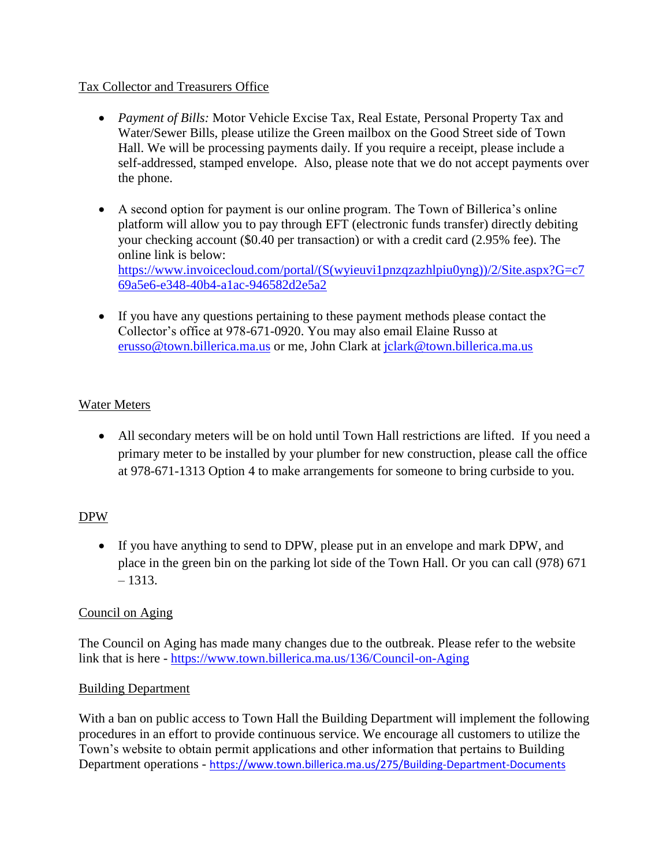# Tax Collector and Treasurers Office

- *Payment of Bills:* Motor Vehicle Excise Tax, Real Estate, Personal Property Tax and Water/Sewer Bills, please utilize the Green mailbox on the Good Street side of Town Hall. We will be processing payments daily. If you require a receipt, please include a self-addressed, stamped envelope. Also, please note that we do not accept payments over the phone.
- A second option for payment is our online program. The Town of Billerica's online platform will allow you to pay through EFT (electronic funds transfer) directly debiting your checking account (\$0.40 per transaction) or with a credit card (2.95% fee). The online link is below: [https://www.invoicecloud.com/portal/\(S\(wyieuvi1pnzqzazhlpiu0yng\)\)/2/Site.aspx?G=c7](https://www.invoicecloud.com/portal/(S(wyieuvi1pnzqzazhlpiu0yng))/2/Site.aspx?G=c769a5e6-e348-40b4-a1ac-946582d2e5a2) [69a5e6-e348-40b4-a1ac-946582d2e5a2](https://www.invoicecloud.com/portal/(S(wyieuvi1pnzqzazhlpiu0yng))/2/Site.aspx?G=c769a5e6-e348-40b4-a1ac-946582d2e5a2)
- If you have any questions pertaining to these payment methods please contact the Collector's office at 978-671-0920. You may also email Elaine Russo at [erusso@town.billerica.ma.us](mailto:erusso@town.billerica.ma.us) or me, John Clark at [jclark@town.billerica.ma.us](mailto:jclark@town.billerica.ma.us)

# Water Meters

 All secondary meters will be on hold until Town Hall restrictions are lifted. If you need a primary meter to be installed by your plumber for new construction, please call the office at 978-671-1313 Option 4 to make arrangements for someone to bring curbside to you.

# DPW

 If you have anything to send to DPW, please put in an envelope and mark DPW, and place in the green bin on the parking lot side of the Town Hall. Or you can call (978) 671  $-1313.$ 

# Council on Aging

The Council on Aging has made many changes due to the outbreak. Please refer to the website link that is here - <https://www.town.billerica.ma.us/136/Council-on-Aging>

# Building Department

With a ban on public access to Town Hall the Building Department will implement the following procedures in an effort to provide continuous service. We encourage all customers to utilize the Town's website to obtain permit applications and other information that pertains to Building Department operations - <https://www.town.billerica.ma.us/275/Building-Department-Documents>